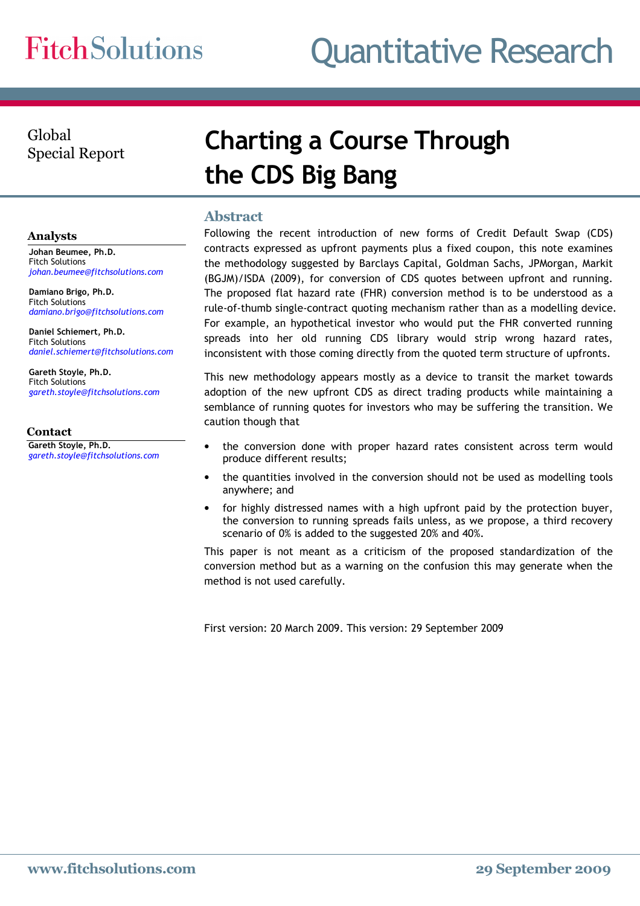## Global

### Global Special Report **Charting a Course Through** the CDS Big Bang

### Abstract

Following the recent introduction of new forms of Credit Default Swap (CDS) contracts expressed as upfront payments plus a fixed coupon, this note examines the methodology suggested by Barclays Capital, Goldman Sachs, JPMorgan, Markit (BGJM)/ISDA (2009), for conversion of CDS quotes between upfront and running. The proposed flat hazard rate (FHR) conversion method is to be understood as a rule-of-thumb single-contract quoting mechanism rather than as a modelling device. For example, an hypothetical investor who would put the FHR converted running spreads into her old running CDS library would strip wrong hazard rates, inconsistent with those coming directly from the quoted term structure of upfronts.

This new methodology appears mostly as a device to transit the market towards adoption of the new upfront CDS as direct trading products while maintaining a semblance of running quotes for investors who may be suffering the transition. We caution though that

- the conversion done with proper hazard rates consistent across term would produce different results;
- the quantities involved in the conversion should not be used as modelling tools anywhere; and
- for highly distressed names with a high upfront paid by the protection buyer, the conversion to running spreads fails unless, as we propose, a third recovery scenario of 0% is added to the suggested 20% and 40%.

This paper is not meant as a criticism of the proposed standardization of the conversion method but as a warning on the confusion this may generate when the method is not used carefully.

First version: 20 March 2009. This version: 29 September 2009

#### Analysts

Johan Beumee, Ph.D. Fitch Solutions johan.beumee@fitchsolutions.com

Damiano Brigo, Ph.D. Fitch Solutions damiano.brigo@fitchsolutions.com

Daniel Schiemert, Ph.D. Fitch Solutions daniel.schiemert@fitchsolutions.com

Gareth Stoyle, Ph.D. Fitch Solutions gareth.stoyle@fitchsolutions.com

#### Contact

Gareth Stoyle, Ph.D. gareth.stoyle@fitchsolutions.com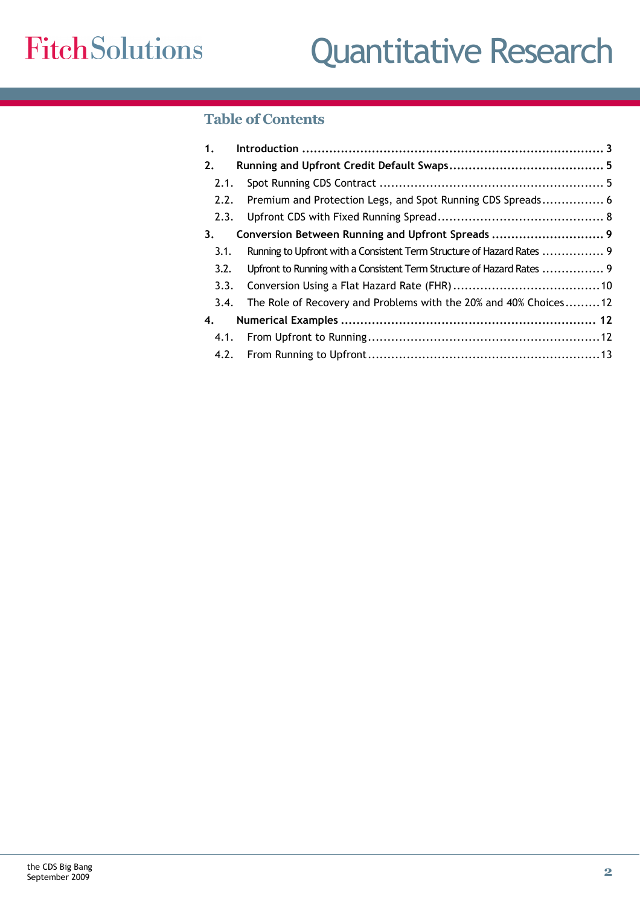### Table of Contents

| 1.   |                                                                        |  |
|------|------------------------------------------------------------------------|--|
| 2.   |                                                                        |  |
| 2.1. |                                                                        |  |
| 2.2. | Premium and Protection Legs, and Spot Running CDS Spreads 6            |  |
| 2.3. |                                                                        |  |
| 3.   | Conversion Between Running and Upfront Spreads  9                      |  |
| 3.1. | Running to Upfront with a Consistent Term Structure of Hazard Rates  9 |  |
| 3.2. | Upfront to Running with a Consistent Term Structure of Hazard Rates  9 |  |
| 3.3. |                                                                        |  |
| 3.4. | The Role of Recovery and Problems with the 20% and 40% Choices12       |  |
| 4.   |                                                                        |  |
| 4.1. |                                                                        |  |
|      |                                                                        |  |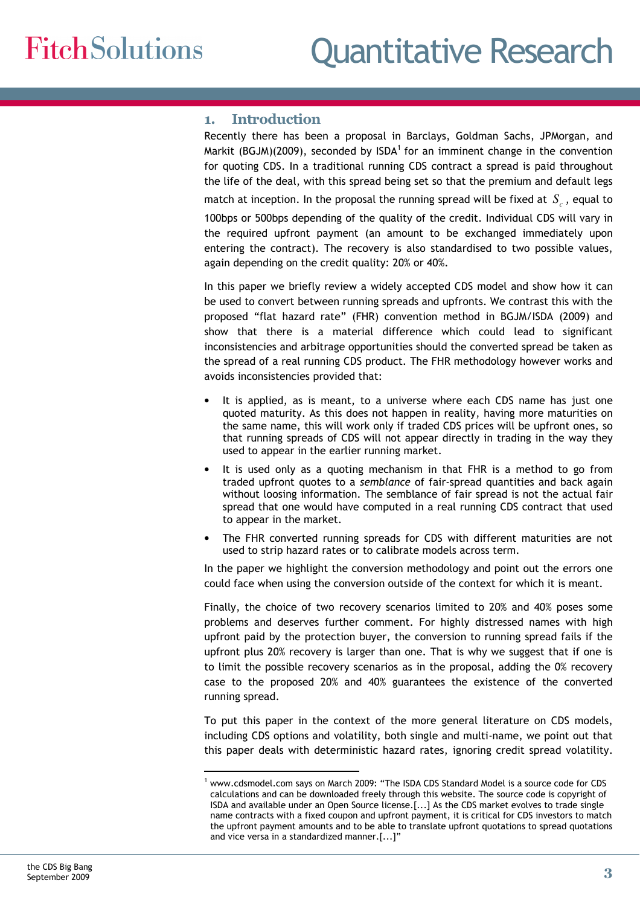#### 1. Introduction

Recently there has been a proposal in Barclays, Goldman Sachs, JPMorgan, and Markit (BGJM)(2009), seconded by ISDA<sup>1</sup> for an imminent change in the convention for quoting CDS. In a traditional running CDS contract a spread is paid throughout the life of the deal, with this spread being set so that the premium and default legs

match at inception. In the proposal the running spread will be fixed at  $S_c$ , equal to

100bps or 500bps depending of the quality of the credit. Individual CDS will vary in the required upfront payment (an amount to be exchanged immediately upon entering the contract). The recovery is also standardised to two possible values, again depending on the credit quality: 20% or 40%.

In this paper we briefly review a widely accepted CDS model and show how it can be used to convert between running spreads and upfronts. We contrast this with the proposed "flat hazard rate" (FHR) convention method in BGJM/ISDA (2009) and show that there is a material difference which could lead to significant inconsistencies and arbitrage opportunities should the converted spread be taken as the spread of a real running CDS product. The FHR methodology however works and avoids inconsistencies provided that:

- It is applied, as is meant, to a universe where each CDS name has just one quoted maturity. As this does not happen in reality, having more maturities on the same name, this will work only if traded CDS prices will be upfront ones, so that running spreads of CDS will not appear directly in trading in the way they used to appear in the earlier running market.
- It is used only as a quoting mechanism in that FHR is a method to go from traded upfront quotes to a semblance of fair-spread quantities and back again without loosing information. The semblance of fair spread is not the actual fair spread that one would have computed in a real running CDS contract that used to appear in the market.
- The FHR converted running spreads for CDS with different maturities are not used to strip hazard rates or to calibrate models across term.

In the paper we highlight the conversion methodology and point out the errors one could face when using the conversion outside of the context for which it is meant.

Finally, the choice of two recovery scenarios limited to 20% and 40% poses some problems and deserves further comment. For highly distressed names with high upfront paid by the protection buyer, the conversion to running spread fails if the upfront plus 20% recovery is larger than one. That is why we suggest that if one is to limit the possible recovery scenarios as in the proposal, adding the 0% recovery case to the proposed 20% and 40% guarantees the existence of the converted running spread.

To put this paper in the context of the more general literature on CDS models, including CDS options and volatility, both single and multi-name, we point out that this paper deals with deterministic hazard rates, ignoring credit spread volatility.

<sup>&</sup>lt;sup>1</sup> www.cdsmodel.com says on March 2009: "The ISDA CDS Standard Model is a source code for CDS calculations and can be downloaded freely through this website. The source code is copyright of ISDA and available under an Open Source license.[...] As the CDS market evolves to trade single name contracts with a fixed coupon and upfront payment, it is critical for CDS investors to match the upfront payment amounts and to be able to translate upfront quotations to spread quotations and vice versa in a standardized manner.[...]"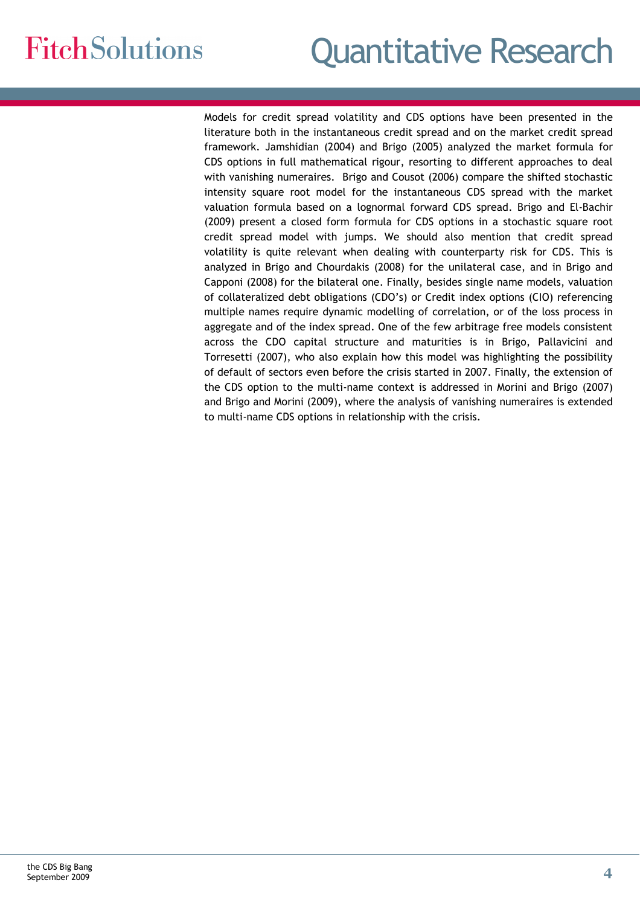# Quantitative Research

Models for credit spread volatility and CDS options have been presented in the literature both in the instantaneous credit spread and on the market credit spread framework. Jamshidian (2004) and Brigo (2005) analyzed the market formula for CDS options in full mathematical rigour, resorting to different approaches to deal with vanishing numeraires. Brigo and Cousot (2006) compare the shifted stochastic intensity square root model for the instantaneous CDS spread with the market valuation formula based on a lognormal forward CDS spread. Brigo and El-Bachir (2009) present a closed form formula for CDS options in a stochastic square root credit spread model with jumps. We should also mention that credit spread volatility is quite relevant when dealing with counterparty risk for CDS. This is analyzed in Brigo and Chourdakis (2008) for the unilateral case, and in Brigo and Capponi (2008) for the bilateral one. Finally, besides single name models, valuation of collateralized debt obligations (CDO's) or Credit index options (CIO) referencing multiple names require dynamic modelling of correlation, or of the loss process in aggregate and of the index spread. One of the few arbitrage free models consistent across the CDO capital structure and maturities is in Brigo, Pallavicini and Torresetti (2007), who also explain how this model was highlighting the possibility of default of sectors even before the crisis started in 2007. Finally, the extension of the CDS option to the multi-name context is addressed in Morini and Brigo (2007) and Brigo and Morini (2009), where the analysis of vanishing numeraires is extended to multi-name CDS options in relationship with the crisis.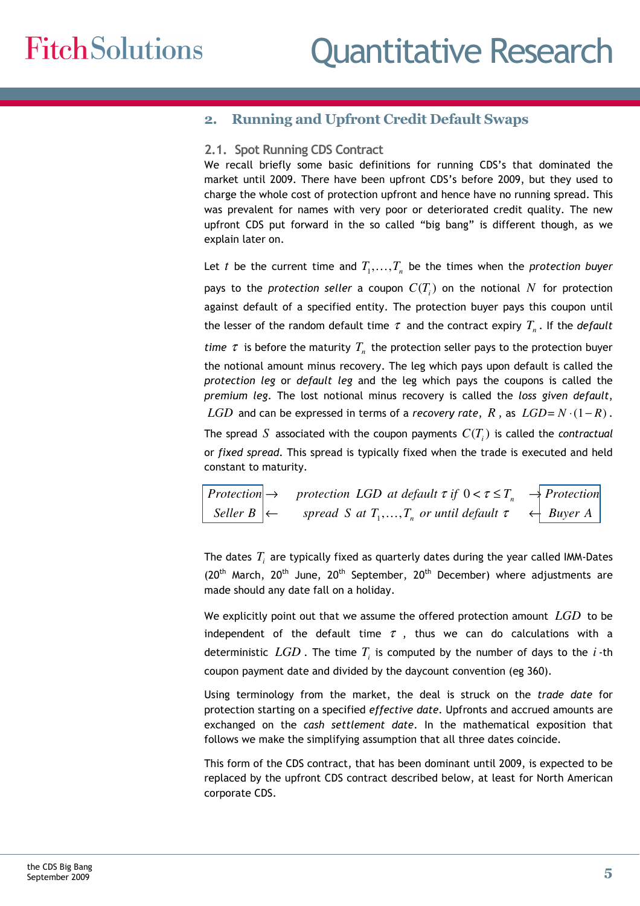### 2. Running and Upfront Credit Default Swaps

#### 2.1. Spot Running CDS Contract

We recall briefly some basic definitions for running CDS's that dominated the market until 2009. There have been upfront CDS's before 2009, but they used to charge the whole cost of protection upfront and hence have no running spread. This was prevalent for names with very poor or deteriorated credit quality. The new upfront CDS put forward in the so called "big bang" is different though, as we explain later on.

Let  $t$  be the current time and  $T_1, \ldots, T_n$  be the times when the *protection buyer* pays to the *protection seller* a coupon  $C(T_i)$  on the notional  $N$  for protection against default of a specified entity. The protection buyer pays this coupon until the lesser of the random default time  $\tau$  and the contract expiry  $T_n$ . If the *default* 

time  $\tau$  is before the maturity  $T_n$  the protection seller pays to the protection buyer the notional amount minus recovery. The leg which pays upon default is called the protection leg or default leg and the leg which pays the coupons is called the premium leg. The lost notional minus recovery is called the loss given default, *LGD* and can be expressed in terms of a *recovery rate*,  $R$ , as  $LGD = N \cdot (1 - R)$ .

The spread  $S$  associated with the coupon payments  $C(T_i)$  is called the *contractual* or fixed spread. This spread is typically fixed when the trade is executed and held constant to maturity.



The dates  $T_{\tilde{i}}$  are typically fixed as quarterly dates during the year called IMM-Dates  $(20<sup>th</sup>$  March,  $20<sup>th</sup>$  June,  $20<sup>th</sup>$  September,  $20<sup>th</sup>$  December) where adjustments are made should any date fall on a holiday.

We explicitly point out that we assume the offered protection amount *LGD* to be independent of the default time  $\tau$ , thus we can do calculations with a deterministic *LGD* . The time *T<sup>i</sup>* is computed by the number of days to the *i* -th coupon payment date and divided by the daycount convention (eg 360).

Using terminology from the market, the deal is struck on the trade date for protection starting on a specified effective date. Upfronts and accrued amounts are exchanged on the cash settlement date. In the mathematical exposition that follows we make the simplifying assumption that all three dates coincide.

This form of the CDS contract, that has been dominant until 2009, is expected to be replaced by the upfront CDS contract described below, at least for North American corporate CDS.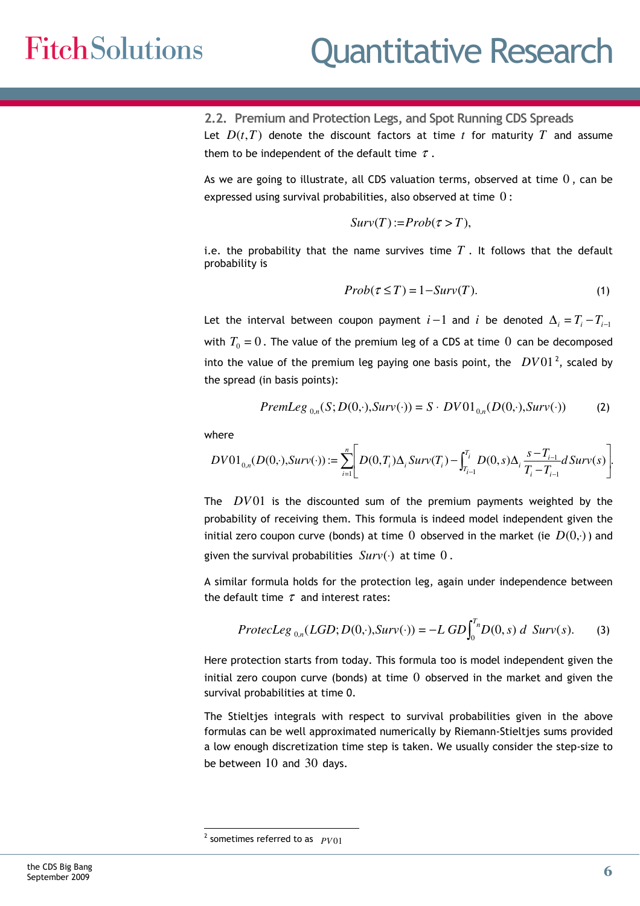2.2. Premium and Protection Legs, and Spot Running CDS Spreads

Let  $D(t, T)$  denote the discount factors at time t for maturity T and assume them to be independent of the default time  $\tau$ .

As we are going to illustrate, all CDS valuation terms, observed at time  $0$ , can be expressed using survival probabilities, also observed at time  $0$ :

$$
Surv(T) := Prob(\tau > T),
$$

i.e. the probability that the name survives time  $T$ . It follows that the default probability is

$$
Prob(\tau \le T) = 1 - Surv(T). \tag{1}
$$

Let the interval between coupon payment  $i-1$  and  $i$  be denoted  $\Delta_i = T_i - T_{i-1}$ with  $T_{\rm 0}$  =  $0$  . The value of the premium leg of a CDS at time  $\,0\,$  can be decomposed into the value of the premium leg paying one basis point, the  $|DV01|^2$ , scaled by the spread (in basis points):

*Premleg*<sub>0,n</sub>(S; 
$$
D(0, \cdot), Surv(\cdot) = S \cdot DVO1_{0,n}(D(0, \cdot), Surv(\cdot))
$$
 (2)

where

$$
DV01_{0,n}(D(0,\cdot),\text{Surv}(\cdot)) := \sum_{i=1}^{n} \Bigg[ D(0,T_i)\Delta_i \text{Surv}(T_i) - \int_{T_{i-1}}^{T_i} D(0,s)\Delta_i \frac{s-T_{i-1}}{T_i-T_{i-1}} d\text{Surv}(s) \Bigg].
$$

The *DV*01 is the discounted sum of the premium payments weighted by the probability of receiving them. This formula is indeed model independent given the initial zero coupon curve (bonds) at time  $0$  observed in the market (ie  $D(0, \cdot)$ ) and given the survival probabilities  $Surv(·)$  at time  $0$ .

A similar formula holds for the protection leg, again under independence between the default time  $\tau$  and interest rates:

$$
ProtecLeg_{0,n}(LGD; D(0,\cdot), Surv(\cdot)) = -L GD \int_0^{T_n} D(0,s) \, d\, Surv(s). \tag{3}
$$

Here protection starts from today. This formula too is model independent given the initial zero coupon curve (bonds) at time  $0$  observed in the market and given the survival probabilities at time 0.

The Stieltjes integrals with respect to survival probabilities given in the above formulas can be well approximated numerically by Riemann-Stieltjes sums provided a low enough discretization time step is taken. We usually consider the step-size to be between 10 and 30 days.

<sup>&</sup>lt;sup>2</sup> sometimes referred to as  $pV01$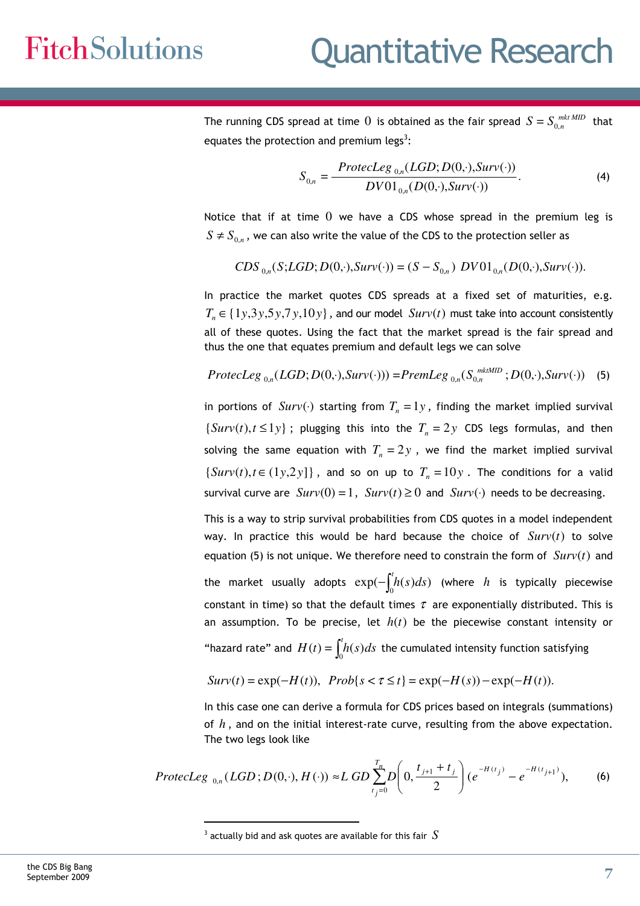The running CDS spread at time  $0$  is obtained as the fair spread  $S = S_{0,n}^{mkt\,MID}$  that equates the protection and premium legs<sup>3</sup>:

$$
S_{0,n} = \frac{Protecleg_{0,n}(LGD; D(0,\cdot),Surv(\cdot))}{DV01_{0,n}(D(0,\cdot),Surv(\cdot))}.
$$
 (4)

Notice that if at time  $0$  we have a CDS whose spread in the premium leg is  $S \neq S_{_{0,n}}$  , we can also write the value of the CDS to the protection seller as

$$
CDS_{0,n}(S; LGD; D(0,\cdot), Surv(\cdot)) = (S - S_{0,n}) \ DVO1_{0,n}(D(0,\cdot), Surv(\cdot)).
$$

In practice the market quotes CDS spreads at a fixed set of maturities, e.g.  $T_{n} \in \{1y,3y,5y,7y,10y\}$ , and our model  $Surv(t)$  must take into account consistently all of these quotes. Using the fact that the market spread is the fair spread and thus the one that equates premium and default legs we can solve

$$
ProtecLeg_{0,n}(LGD; D(0,\cdot), Surv(\cdot))) = PremLeg_{0,n}(S_{0,n}^{mktMID}; D(0,\cdot), Surv(\cdot))
$$
 (5)

in portions of  $Surv(\cdot)$  starting from  $T<sub>n</sub> = 1 y$ , finding the market implied survival  ${Surv(t), t \leq 1y}$ ; plugging this into the  $T<sub>n</sub> = 2y$  CDS legs formulas, and then solving the same equation with  $T<sub>n</sub> = 2y$ , we find the market implied survival  ${Surv(t), t \in (1y,2y]}$ , and so on up to  $T<sub>n</sub> = 10y$ . The conditions for a valid survival curve are  $Surv(0) = 1$ ,  $Surv(t) \ge 0$  and  $Surv(\cdot)$  needs to be decreasing.

This is a way to strip survival probabilities from CDS quotes in a model independent way. In practice this would be hard because the choice of *Surv*(*t*) to solve equation (5) is not unique. We therefore need to constrain the form of *Surv*(*t*) and the market usually adopts  $\exp(-\int_0^t h(s)ds)$  (where  $h$  is typically piecewise constant in time) so that the default times  $\tau$  are exponentially distributed. This is an assumption. To be precise, let  $h(t)$  be the piecewise constant intensity or "hazard rate" and  $H(t) = \int_0^t h(s)ds$  the cumulated intensity function satisfying

$$
Surv(t) = \exp(-H(t)), \ \ Prob\{s < \tau \le t\} = \exp(-H(s)) - \exp(-H(t)).
$$

In this case one can derive a formula for CDS prices based on integrals (summations) of *h*, and on the initial interest-rate curve, resulting from the above expectation. The two legs look like

$$
ProteCLeg_{0,n}(LGD; D(0,\cdot), H(\cdot)) \approx L GD \sum_{i_j=0}^{T_n} D\left(0, \frac{t_{j+1}+t_j}{2}\right) (e^{-H(t_j)} - e^{-H(t_{j+1})}), \quad (6)
$$

 $^3$  actually bid and ask quotes are available for this fair  $\,S$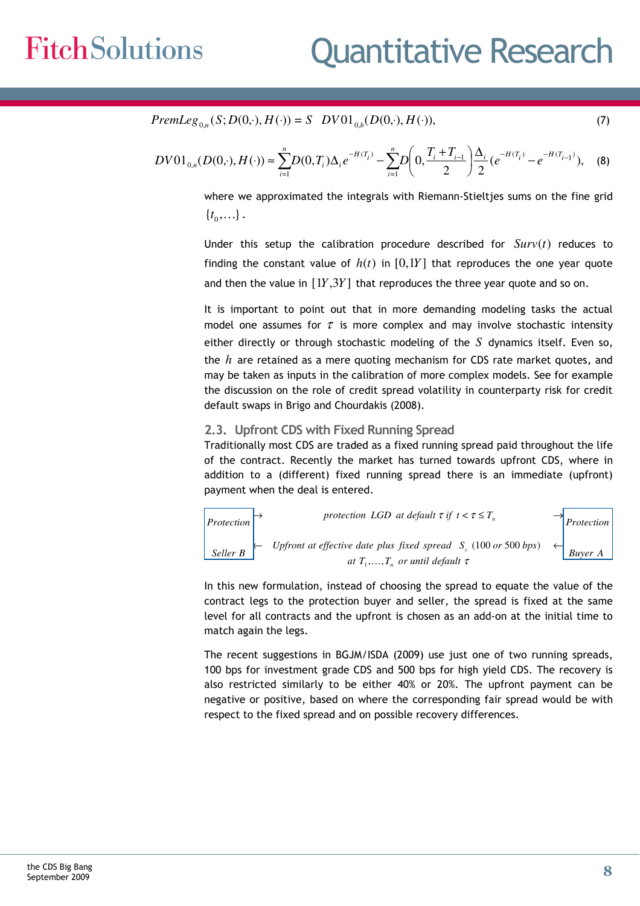*PremLeg*<sub>0,n</sub>(S; 
$$
D(0,\cdot), H(\cdot) = S
$$
  $DVO1_{0,b}(D(0,\cdot), H(\cdot)),$  (7)

$$
DV01_{0,n}(D(0,\cdot),H(\cdot)) \approx \sum_{i=1}^{n} D(0,T_i)\Delta_i e^{-H(T_i)} - \sum_{i=1}^{n} D\left(0,\frac{T_i + T_{i-1}}{2}\right) \frac{\Delta_i}{2} (e^{-H(T_i)} - e^{-H(T_{i-1})}), \quad (8)
$$

where we approximated the integrals with Riemann-Stieltjes sums on the fine grid  $\{t_0, ...\}$ .

Under this setup the calibration procedure described for *Surv*(*t*) reduces to finding the constant value of  $h(t)$  in  $[0,1Y]$  that reproduces the one year quote and then the value in  $[1Y,3Y]$  that reproduces the three year quote and so on.

It is important to point out that in more demanding modeling tasks the actual model one assumes for  $\tau$  is more complex and may involve stochastic intensity either directly or through stochastic modeling of the *S* dynamics itself. Even so, the *h* are retained as a mere quoting mechanism for CDS rate market quotes, and may be taken as inputs in the calibration of more complex models. See for example the discussion on the role of credit spread volatility in counterparty risk for credit default swaps in Brigo and Chourdakis (2008).

#### 2.3. Upfront CDS with Fixed Running Spread

Traditionally most CDS are traded as a fixed running spread paid throughout the life of the contract. Recently the market has turned towards upfront CDS, where in addition to a (different) fixed running spread there is an immediate (upfront) payment when the deal is entered.



In this new formulation, instead of choosing the spread to equate the value of the contract legs to the protection buyer and seller, the spread is fixed at the same level for all contracts and the upfront is chosen as an add-on at the initial time to match again the legs.

The recent suggestions in BGJM/ISDA (2009) use just one of two running spreads, 100 bps for investment grade CDS and 500 bps for high yield CDS. The recovery is also restricted similarly to be either 40% or 20%. The upfront payment can be negative or positive, based on where the corresponding fair spread would be with respect to the fixed spread and on possible recovery differences.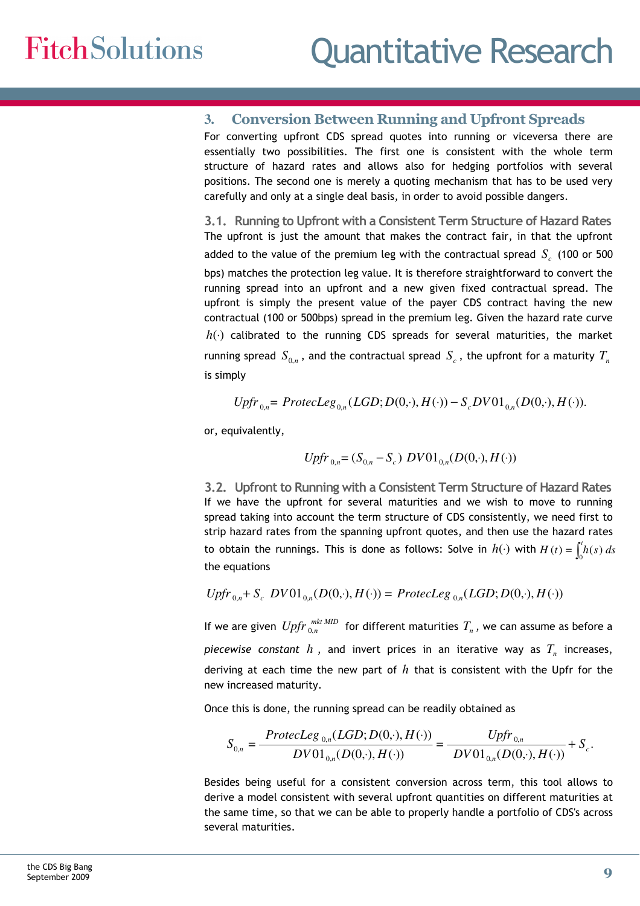### **3.** Conversion Between Running and Upfront Spreads

For converting upfront CDS spread quotes into running or viceversa there are essentially two possibilities. The first one is consistent with the whole term structure of hazard rates and allows also for hedging portfolios with several positions. The second one is merely a quoting mechanism that has to be used very carefully and only at a single deal basis, in order to avoid possible dangers.

3.1. Running to Upfront with a Consistent Term Structure of Hazard Rates The upfront is just the amount that makes the contract fair, in that the upfront added to the value of the premium leg with the contractual spread  $S_c$  (100 or 500  $^\circ$ bps) matches the protection leg value. It is therefore straightforward to convert the running spread into an upfront and a new given fixed contractual spread. The upfront is simply the present value of the payer CDS contract having the new contractual (100 or 500bps) spread in the premium leg. Given the hazard rate curve  $h(\cdot)$  calibrated to the running CDS spreads for several maturities, the market running spread  $S_{0,n}$  , and the contractual spread  $S_c$  , the upfront for a maturity  $T_n$ is simply

$$
Upfr_{0,n} = ProtecLeg_{0,n}(LGD; D(0,\cdot), H(\cdot)) - S_cDV01_{0,n}(D(0,\cdot), H(\cdot)).
$$

or, equivalently,

$$
Upfr_{0,n} = (S_{0,n} - S_c) DVO1_{0,n}(D(0,\cdot), H(\cdot))
$$

to obtain the runnings. This is done as follows: Solve in  $h(\cdot)$  with  $H(t) = \int_0^t h(s) \, ds$ 3.2. Upfront to Running with a Consistent Term Structure of Hazard Rates If we have the upfront for several maturities and we wish to move to running spread taking into account the term structure of CDS consistently, we need first to strip hazard rates from the spanning upfront quotes, and then use the hazard rates the equations

$$
Upfr_{0,n} + S_c DV01_{0,n}(D(0,\cdot), H(\cdot)) = ProtecLeg_{0,n}(LGD; D(0,\cdot), H(\cdot))
$$

If we are given  $\mathit{Upfr}_{0,n}^{\mathit{mkt\,MID}}$  for different maturities  $T_n$  , we can assume as before a piecewise constant *h* , and invert prices in an iterative way as *T<sup>n</sup>* increases, deriving at each time the new part of *h* that is consistent with the Upfr for the new increased maturity.

Once this is done, the running spread can be readily obtained as

$$
S_{_{0,n}} = \frac{ProteCLeg_{_{0,n}}(LGD; D(0,\cdot), H(\cdot))}{DV01_{_{0,n}}(D(0,\cdot), H(\cdot))} = \frac{Upfr_{_{0,n}}}{DV01_{_{0,n}}(D(0,\cdot), H(\cdot))} + S_c.
$$

Besides being useful for a consistent conversion across term, this tool allows to derive a model consistent with several upfront quantities on different maturities at the same time, so that we can be able to properly handle a portfolio of CDS's across several maturities.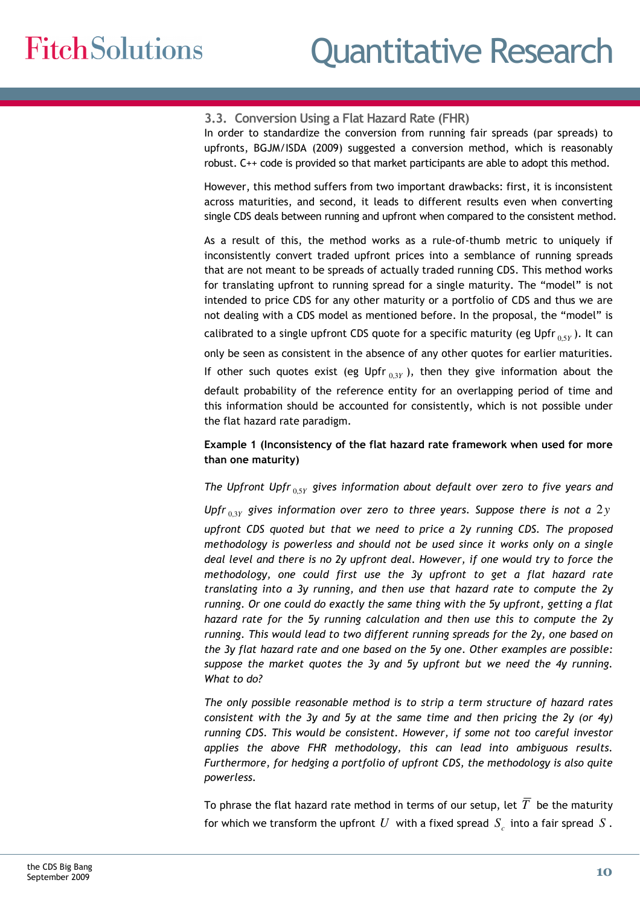#### 3.3. Conversion Using a Flat Hazard Rate (FHR)

In order to standardize the conversion from running fair spreads (par spreads) to upfronts, BGJM/ISDA (2009) suggested a conversion method, which is reasonably robust. C++ code is provided so that market participants are able to adopt this method.

However, this method suffers from two important drawbacks: first, it is inconsistent across maturities, and second, it leads to different results even when converting single CDS deals between running and upfront when compared to the consistent method.

As a result of this, the method works as a rule-of-thumb metric to uniquely if inconsistently convert traded upfront prices into a semblance of running spreads that are not meant to be spreads of actually traded running CDS. This method works for translating upfront to running spread for a single maturity. The "model" is not intended to price CDS for any other maturity or a portfolio of CDS and thus we are not dealing with a CDS model as mentioned before. In the proposal, the "model" is calibrated to a single upfront CDS quote for a specific maturity (eg Upfr <sub>0,5Y</sub> ). It can only be seen as consistent in the absence of any other quotes for earlier maturities.

If other such quotes exist (eg  $Upfr_{0,3Y}$ ), then they give information about the

default probability of the reference entity for an overlapping period of time and this information should be accounted for consistently, which is not possible under the flat hazard rate paradigm.

#### Example 1 (Inconsistency of the flat hazard rate framework when used for more than one maturity)

#### The Upfront Upfr 0,5*<sup>Y</sup>* gives information about default over zero to five years and

Upfr 0,3*<sup>Y</sup>* gives information over zero to three years. Suppose there is not a 2*y* upfront CDS quoted but that we need to price a 2y running CDS. The proposed methodology is powerless and should not be used since it works only on a single deal level and there is no 2y upfront deal. However, if one would try to force the methodology, one could first use the 3y upfront to get a flat hazard rate translating into a 3y running, and then use that hazard rate to compute the 2y running. Or one could do exactly the same thing with the 5y upfront, getting a flat hazard rate for the 5y running calculation and then use this to compute the 2y running. This would lead to two different running spreads for the 2y, one based on the 3y flat hazard rate and one based on the 5y one. Other examples are possible: suppose the market quotes the 3y and 5y upfront but we need the 4y running. What to do?

The only possible reasonable method is to strip a term structure of hazard rates consistent with the 3y and 5y at the same time and then pricing the 2y (or 4y) running CDS. This would be consistent. However, if some not too careful investor applies the above FHR methodology, this can lead into ambiguous results. Furthermore, for hedging a portfolio of upfront CDS, the methodology is also quite powerless.

To phrase the flat hazard rate method in terms of our setup, let  $\overline{T}$  be the maturity for which we transform the upfront  $\,U\,$  with a fixed spread  $\,S_{\,c}\,$  into a fair spread  $\,S$  .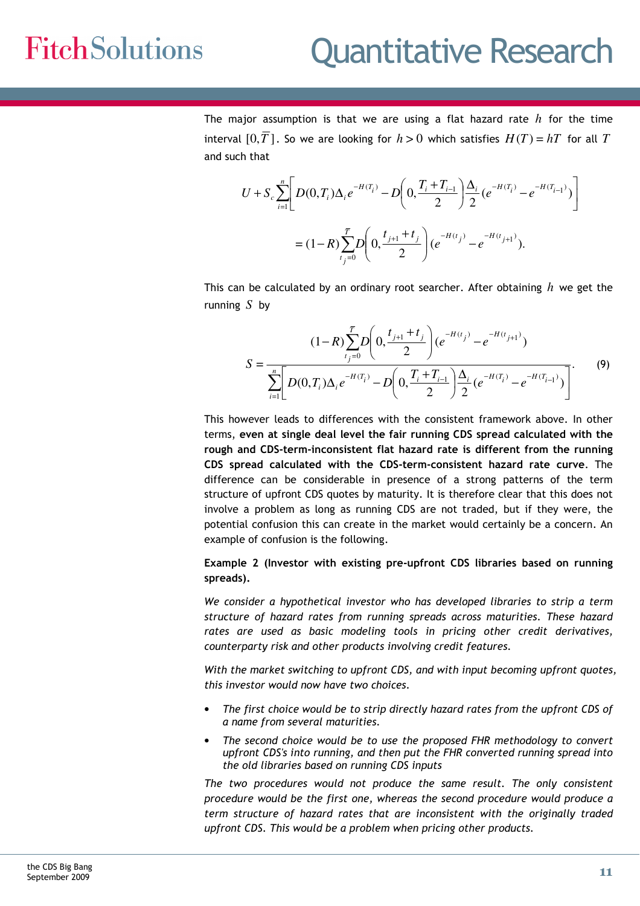The major assumption is that we are using a flat hazard rate *h* for the time interval  $[0,\overline{T}]$ . So we are looking for  $h > 0$  which satisfies  $H(T) = hT$  for all T and such that

$$
U + S_c \sum_{i=1}^{n} \left[ D(0, T_i) \Delta_i e^{-H(T_i)} - D \left( 0, \frac{T_i + T_{i-1}}{2} \right) \frac{\Delta_i}{2} (e^{-H(T_i)} - e^{-H(T_{i-1})}) \right]
$$
  
=  $(1 - R) \sum_{t_j=0}^{T} D \left( 0, \frac{t_{j+1} + t_j}{2} \right) (e^{-H(t_j)} - e^{-H(t_{j+1})}).$ 

This can be calculated by an ordinary root searcher. After obtaining *h* we get the running *S* by

$$
S = \frac{(1-R)\sum_{i_j=0}^{T} D\left(0, \frac{t_{j+1} + t_j}{2}\right) (e^{-H(t_j)} - e^{-H(t_{j+1})})}{\sum_{i=1}^{n} \left[ D(0, T_i) \Delta_i e^{-H(T_i)} - D\left(0, \frac{T_i + T_{i-1}}{2}\right) \frac{\Delta_i}{2} (e^{-H(T_i)} - e^{-H(T_{i-1})})\right]}.
$$
(9)

This however leads to differences with the consistent framework above. In other terms, even at single deal level the fair running CDS spread calculated with the rough and CDS-term-inconsistent flat hazard rate is different from the running CDS spread calculated with the CDS-term-consistent hazard rate curve. The difference can be considerable in presence of a strong patterns of the term structure of upfront CDS quotes by maturity. It is therefore clear that this does not involve a problem as long as running CDS are not traded, but if they were, the potential confusion this can create in the market would certainly be a concern. An example of confusion is the following.

Example 2 (Investor with existing pre-upfront CDS libraries based on running spreads).

We consider a hypothetical investor who has developed libraries to strip a term structure of hazard rates from running spreads across maturities. These hazard rates are used as basic modeling tools in pricing other credit derivatives, counterparty risk and other products involving credit features.

With the market switching to upfront CDS, and with input becoming upfront quotes, this investor would now have two choices.

- The first choice would be to strip directly hazard rates from the upfront CDS of a name from several maturities.
- The second choice would be to use the proposed FHR methodology to convert upfront CDS's into running, and then put the FHR converted running spread into the old libraries based on running CDS inputs

The two procedures would not produce the same result. The only consistent procedure would be the first one, whereas the second procedure would produce a term structure of hazard rates that are inconsistent with the originally traded upfront CDS. This would be a problem when pricing other products.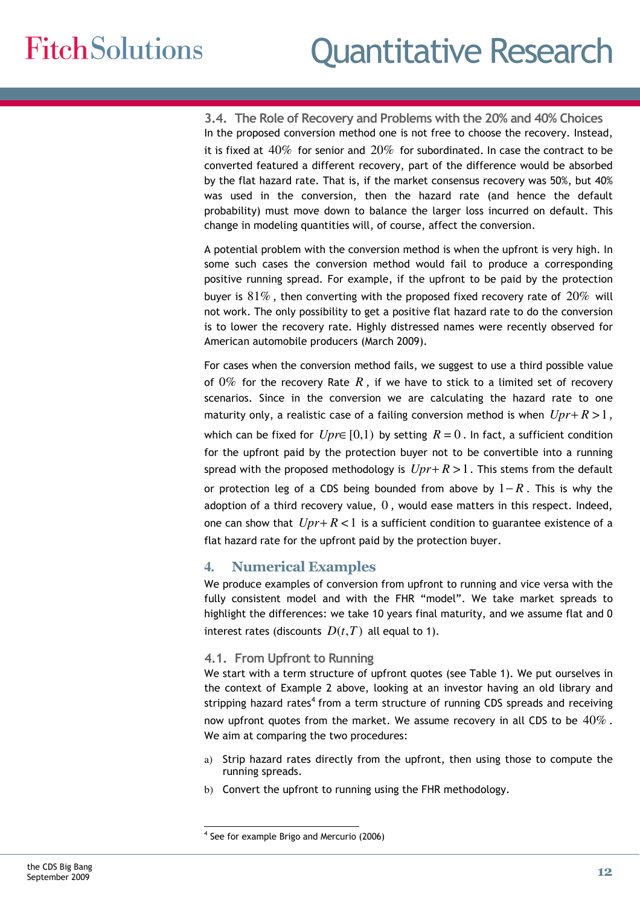3.4. The Role of Recovery and Problems with the 20% and 40% Choices In the proposed conversion method one is not free to choose the recovery. Instead, it is fixed at  $40\%$  for senior and  $20\%$  for subordinated. In case the contract to be converted featured a different recovery, part of the difference would be absorbed by the flat hazard rate. That is, if the market consensus recovery was 50%, but 40% was used in the conversion, then the hazard rate (and hence the default probability) must move down to balance the larger loss incurred on default. This change in modeling quantities will, of course, affect the conversion.

A potential problem with the conversion method is when the upfront is very high. In some such cases the conversion method would fail to produce a corresponding positive running spread. For example, if the upfront to be paid by the protection buyer is  $81\%$ , then converting with the proposed fixed recovery rate of  $20\%$  will not work. The only possibility to get a positive flat hazard rate to do the conversion is to lower the recovery rate. Highly distressed names were recently observed for American automobile producers (March 2009).

For cases when the conversion method fails, we suggest to use a third possible value of  $0\%$  for the recovery Rate  $R$ , if we have to stick to a limited set of recovery scenarios. Since in the conversion we are calculating the hazard rate to one maturity only, a realistic case of a failing conversion method is when  $Upr+R>1$ , which can be fixed for  $Up \in [0,1)$  by setting  $R = 0$ . In fact, a sufficient condition for the upfront paid by the protection buyer not to be convertible into a running spread with the proposed methodology is  $Upr+R>1$ . This stems from the default or protection leg of a CDS being bounded from above by 1− *R* . This is why the adoption of a third recovery value,  $0$ , would ease matters in this respect. Indeed, one can show that  $Upr + R < 1$  is a sufficient condition to guarantee existence of a flat hazard rate for the upfront paid by the protection buyer.

### **4.** Numerical Examples

We produce examples of conversion from upfront to running and vice versa with the fully consistent model and with the FHR "model". We take market spreads to highlight the differences: we take 10 years final maturity, and we assume flat and 0 interest rates (discounts  $D(t, T)$  all equal to 1).

#### 4.1. From Upfront to Running

We start with a term structure of upfront quotes (see Table 1). We put ourselves in the context of Example 2 above, looking at an investor having an old library and stripping hazard rates<sup>4</sup> from a term structure of running CDS spreads and receiving now upfront quotes from the market. We assume recovery in all CDS to be  $40\%$ . We aim at comparing the two procedures:

- a) Strip hazard rates directly from the upfront, then using those to compute the running spreads.
- b) Convert the upfront to running using the FHR methodology.

<sup>4</sup> See for example Brigo and Mercurio (2006)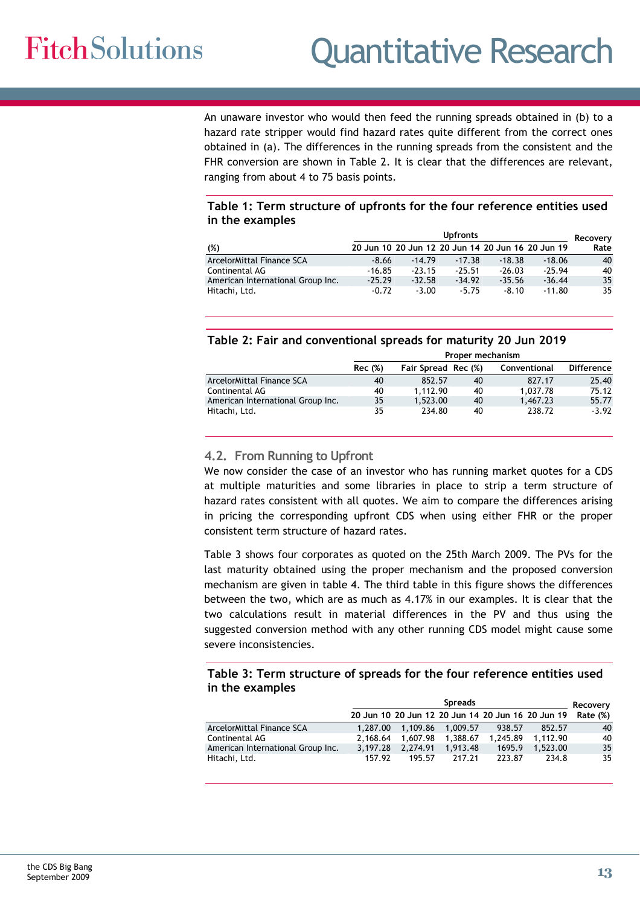An unaware investor who would then feed the running spreads obtained in (b) to a hazard rate stripper would find hazard rates quite different from the correct ones obtained in (a). The differences in the running spreads from the consistent and the FHR conversion are shown in Table 2. It is clear that the differences are relevant, ranging from about 4 to 75 basis points.

#### Table 1: Term structure of upfronts for the four reference entities used in the examples

|                                   | <b>Upfronts</b> |          |          |                                                   |          | Recovery |
|-----------------------------------|-----------------|----------|----------|---------------------------------------------------|----------|----------|
| (%)                               |                 |          |          | 20 Jun 10 20 Jun 12 20 Jun 14 20 Jun 16 20 Jun 19 |          | Rate     |
| ArcelorMittal Finance SCA         | $-8.66$         | $-14.79$ | $-17.38$ | $-18.38$                                          | $-18.06$ | 40       |
| Continental AG                    | $-16.85$        | $-23.15$ | $-25.51$ | $-26.03$                                          | $-25.94$ | 40       |
| American International Group Inc. | $-25.29$        | $-32.58$ | $-34.92$ | $-35.56$                                          | $-36.44$ | 35       |
| Hitachi, Ltd.                     | $-0.72$         | $-3.00$  | $-5.75$  | $-8.10$                                           | $-11.80$ | 35       |

#### Table 2: Fair and conventional spreads for maturity 20 Jun 2019

|                                   | Proper mechanism |                     |    |              |                   |  |
|-----------------------------------|------------------|---------------------|----|--------------|-------------------|--|
|                                   | <b>Rec</b> (%)   | Fair Spread Rec (%) |    | Conventional | <b>Difference</b> |  |
| ArcelorMittal Finance SCA         | 40               | 852.57              | 40 | 827.17       | 25.40             |  |
| Continental AG                    | 40               | 1.112.90            | 40 | 1.037.78     | 75.12             |  |
| American International Group Inc. | 35               | 1,523.00            | 40 | 1.467.23     | 55.77             |  |
| Hitachi, Ltd.                     | 35               | 234.80              | 40 | 238.72       | $-3.92$           |  |

#### 4.2. From Running to Upfront

We now consider the case of an investor who has running market quotes for a CDS at multiple maturities and some libraries in place to strip a term structure of hazard rates consistent with all quotes. We aim to compare the differences arising in pricing the corresponding upfront CDS when using either FHR or the proper consistent term structure of hazard rates.

Table 3 shows four corporates as quoted on the 25th March 2009. The PVs for the last maturity obtained using the proper mechanism and the proposed conversion mechanism are given in table 4. The third table in this figure shows the differences between the two, which are as much as 4.17% in our examples. It is clear that the two calculations result in material differences in the PV and thus using the suggested conversion method with any other running CDS model might cause some severe inconsistencies.

#### Table 3: Term structure of spreads for the four reference entities used in the examples

|                                   | <b>Spreads</b> |                   |                                                            |          | Recovery |    |
|-----------------------------------|----------------|-------------------|------------------------------------------------------------|----------|----------|----|
|                                   |                |                   | 20 Jun 10 20 Jun 12 20 Jun 14 20 Jun 16 20 Jun 19 Rate (%) |          |          |    |
| ArcelorMittal Finance SCA         |                |                   | 1.287.00 1.109.86 1.009.57                                 | 938.57   | 852.57   | 40 |
| Continental AG                    |                |                   | 2.168.64 1.607.98 1.388.67                                 | 1.245.89 | 1.112.90 | 40 |
| American International Group Inc. |                | 3.197.28 2.274.91 | 1.913.48                                                   | 1695.9   | 1.523.00 | 35 |
| Hitachi, Ltd.                     | 157.92         | 195.57            | 217.21                                                     | 223.87   | 234.8    | 35 |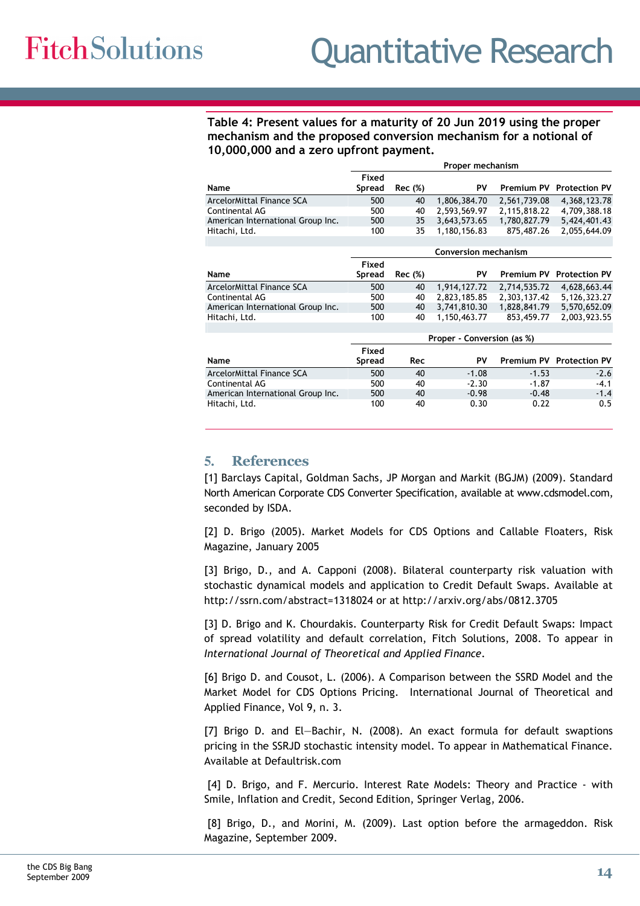Table 4: Present values for a maturity of 20 Jun 2019 using the proper mechanism and the proposed conversion mechanism for a notional of 10,000,000 and a zero upfront payment.

|                                   | Proper mechanism |                |                            |              |                                 |  |
|-----------------------------------|------------------|----------------|----------------------------|--------------|---------------------------------|--|
|                                   | Fixed            |                |                            |              |                                 |  |
| Name                              | Spread           | Rec (%)        | PV                         |              | <b>Premium PV</b> Protection PV |  |
| ArcelorMittal Finance SCA         | 500              | 40             | 1,806,384.70               | 2,561,739.08 | 4,368,123.78                    |  |
| Continental AG                    | 500              | 40             | 2,593,569.97               | 2,115,818.22 | 4,709,388.18                    |  |
| American International Group Inc. | 500              | 35             | 3,643,573.65               | 1,780,827.79 | 5,424,401.43                    |  |
| Hitachi, Ltd.                     | 100              | 35             | 1,180,156.83               | 875,487.26   | 2,055,644.09                    |  |
|                                   |                  |                |                            |              |                                 |  |
|                                   |                  |                | Conversion mechanism       |              |                                 |  |
|                                   | Fixed            |                |                            |              |                                 |  |
| Name                              | Spread           | <b>Rec</b> (%) | PV                         | Premium PV   | <b>Protection PV</b>            |  |
| ArcelorMittal Finance SCA         | 500              | 40             | 1,914,127.72               | 2,714,535.72 | 4,628,663.44                    |  |
| Continental AG                    | 500              | 40             | 2.823.185.85               | 2,303,137.42 | 5,126,323.27                    |  |
| American International Group Inc. | 500              | 40             | 3,741,810.30               | 1,828,841.79 | 5,570,652.09                    |  |
| Hitachi, Ltd.                     | 100              | 40             | 1,150,463.77               | 853,459.77   | 2,003,923.55                    |  |
|                                   |                  |                |                            |              |                                 |  |
|                                   |                  |                | Proper - Conversion (as %) |              |                                 |  |
|                                   | Fixed            |                |                            |              |                                 |  |
| Name                              | Spread           | Rec            | PV                         |              | Premium PV Protection PV        |  |
| ArcelorMittal Finance SCA         | 500              | 40             | $-1.08$                    | $-1.53$      | $-2.6$                          |  |
| Continental AG                    | 500              | 40             | $-2.30$                    | $-1.87$      | $-4.1$                          |  |
| American International Group Inc. | 500              | 40             | $-0.98$                    | $-0.48$      | $-1.4$                          |  |
| Hitachi, Ltd.                     | 100              | 40             | 0.30                       | 0.22         | 0.5                             |  |
|                                   |                  |                |                            |              |                                 |  |

### **5.** References

[1] Barclays Capital, Goldman Sachs, JP Morgan and Markit (BGJM) (2009). Standard North American Corporate CDS Converter Specification, available at www.cdsmodel.com, seconded by ISDA.

[2] D. Brigo (2005). Market Models for CDS Options and Callable Floaters, Risk Magazine, January 2005

[3] Brigo, D., and A. Capponi (2008). Bilateral counterparty risk valuation with stochastic dynamical models and application to Credit Default Swaps. Available at http://ssrn.com/abstract=1318024 or at http://arxiv.org/abs/0812.3705

[3] D. Brigo and K. Chourdakis. Counterparty Risk for Credit Default Swaps: Impact of spread volatility and default correlation, Fitch Solutions, 2008. To appear in International Journal of Theoretical and Applied Finance.

[6] Brigo D. and Cousot, L. (2006). A Comparison between the SSRD Model and the Market Model for CDS Options Pricing. International Journal of Theoretical and Applied Finance, Vol 9, n. 3.

[7] Brigo D. and El—Bachir, N. (2008). An exact formula for default swaptions pricing in the SSRJD stochastic intensity model. To appear in Mathematical Finance. Available at Defaultrisk.com

 [4] D. Brigo, and F. Mercurio. Interest Rate Models: Theory and Practice - with Smile, Inflation and Credit, Second Edition, Springer Verlag, 2006.

 [8] Brigo, D., and Morini, M. (2009). Last option before the armageddon. Risk Magazine, September 2009.